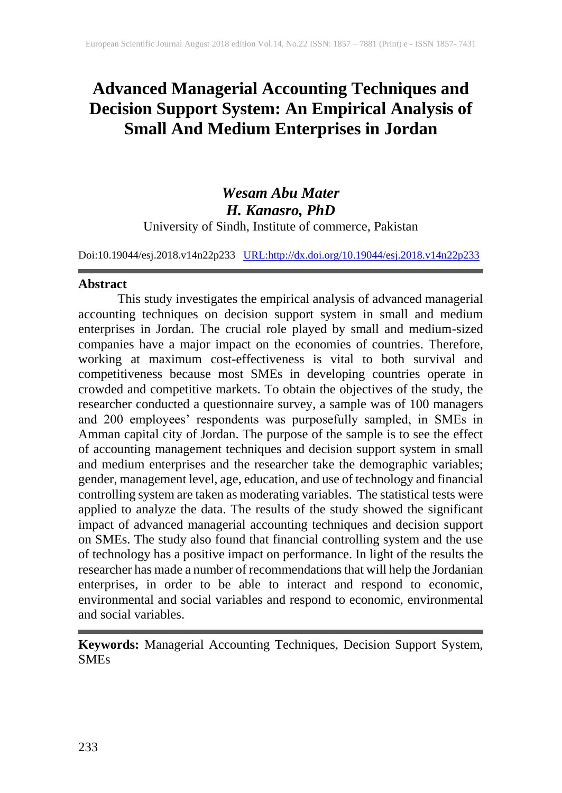# **Advanced Managerial Accounting Techniques and Decision Support System: An Empirical Analysis of Small And Medium Enterprises in Jordan**

# *Wesam Abu Mater H. Kanasro, PhD* University of Sindh, Institute of commerce, Pakistan

Doi:10.19044/esj.2018.v14n22p233 [URL:http://dx.doi.org/10.19044/esj.2018.v14n22p233](http://dx.doi.org/10.19044/esj.2018.v14n22p233)

### **Abstract**

This study investigates the empirical analysis of advanced managerial accounting techniques on decision support system in small and medium enterprises in Jordan. The crucial role played by small and medium-sized companies have a major impact on the economies of countries. Therefore, working at maximum cost-effectiveness is vital to both survival and competitiveness because most SMEs in developing countries operate in crowded and competitive markets. To obtain the objectives of the study, the researcher conducted a questionnaire survey, a sample was of 100 managers and 200 employees' respondents was purposefully sampled, in SMEs in Amman capital city of Jordan. The purpose of the sample is to see the effect of accounting management techniques and decision support system in small and medium enterprises and the researcher take the demographic variables; gender, management level, age, education, and use of technology and financial controlling system are taken as moderating variables. The statistical tests were applied to analyze the data. The results of the study showed the significant impact of advanced managerial accounting techniques and decision support on SMEs. The study also found that financial controlling system and the use of technology has a positive impact on performance. In light of the results the researcher has made a number of recommendations that will help the Jordanian enterprises, in order to be able to interact and respond to economic, environmental and social variables and respond to economic, environmental and social variables.

**Keywords:** Managerial Accounting Techniques, Decision Support System, **SMEs**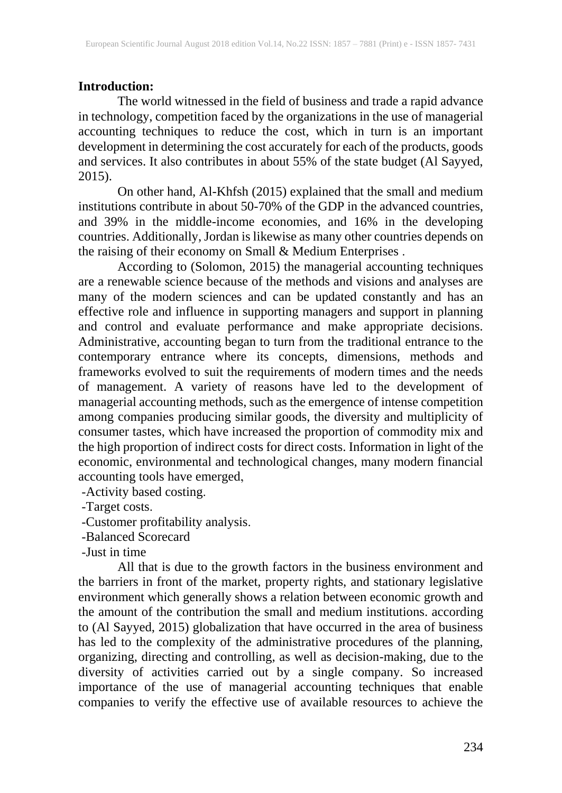# **Introduction:**

The world witnessed in the field of business and trade a rapid advance in technology, competition faced by the organizations in the use of managerial accounting techniques to reduce the cost, which in turn is an important development in determining the cost accurately for each of the products, goods and services. It also contributes in about 55% of the state budget (Al Sayyed, 2015).

On other hand, Al-Khfsh (2015) explained that the small and medium institutions contribute in about 50-70% of the GDP in the advanced countries, and 39% in the middle-income economies, and 16% in the developing countries. Additionally, Jordan is likewise as many other countries depends on the raising of their economy on Small & Medium Enterprises .

According to (Solomon, 2015) the managerial accounting techniques are a renewable science because of the methods and visions and analyses are many of the modern sciences and can be updated constantly and has an effective role and influence in supporting managers and support in planning and control and evaluate performance and make appropriate decisions. Administrative, accounting began to turn from the traditional entrance to the contemporary entrance where its concepts, dimensions, methods and frameworks evolved to suit the requirements of modern times and the needs of management. A variety of reasons have led to the development of managerial accounting methods, such as the emergence of intense competition among companies producing similar goods, the diversity and multiplicity of consumer tastes, which have increased the proportion of commodity mix and the high proportion of indirect costs for direct costs. Information in light of the economic, environmental and technological changes, many modern financial accounting tools have emerged,

-Activity based costing.

-Target costs.

-Customer profitability analysis.

-Balanced Scorecard

-Just in time

All that is due to the growth factors in the business environment and the barriers in front of the market, property rights, and stationary legislative environment which generally shows a relation between economic growth and the amount of the contribution the small and medium institutions. according to (Al Sayyed, 2015) globalization that have occurred in the area of business has led to the complexity of the administrative procedures of the planning, organizing, directing and controlling, as well as decision-making, due to the diversity of activities carried out by a single company. So increased importance of the use of managerial accounting techniques that enable companies to verify the effective use of available resources to achieve the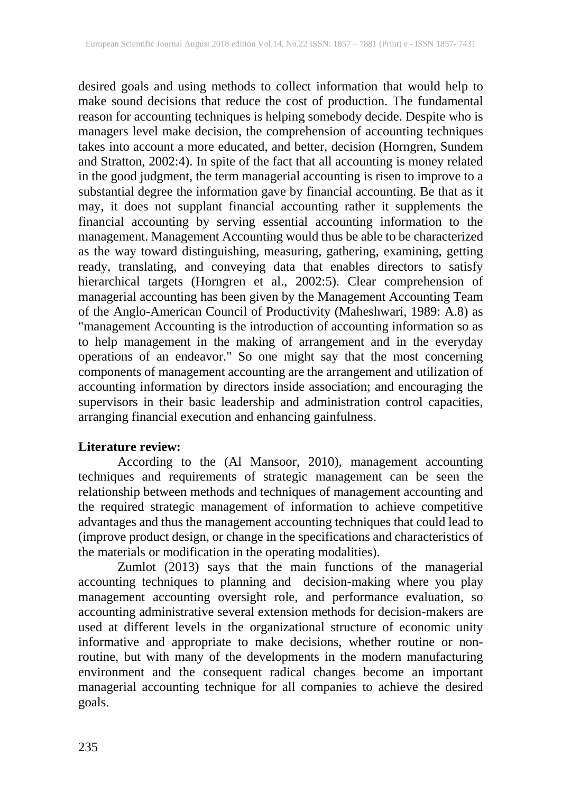desired goals and using methods to collect information that would help to make sound decisions that reduce the cost of production. The fundamental reason for accounting techniques is helping somebody decide. Despite who is managers level make decision, the comprehension of accounting techniques takes into account a more educated, and better, decision (Horngren, Sundem and Stratton, 2002:4). In spite of the fact that all accounting is money related in the good judgment, the term managerial accounting is risen to improve to a substantial degree the information gave by financial accounting. Be that as it may, it does not supplant financial accounting rather it supplements the financial accounting by serving essential accounting information to the management. Management Accounting would thus be able to be characterized as the way toward distinguishing, measuring, gathering, examining, getting ready, translating, and conveying data that enables directors to satisfy hierarchical targets (Horngren et al., 2002:5). Clear comprehension of managerial accounting has been given by the Management Accounting Team of the Anglo-American Council of Productivity (Maheshwari, 1989: A.8) as "management Accounting is the introduction of accounting information so as to help management in the making of arrangement and in the everyday operations of an endeavor." So one might say that the most concerning components of management accounting are the arrangement and utilization of accounting information by directors inside association; and encouraging the supervisors in their basic leadership and administration control capacities, arranging financial execution and enhancing gainfulness.

### **Literature review:**

According to the (Al Mansoor, 2010), management accounting techniques and requirements of strategic management can be seen the relationship between methods and techniques of management accounting and the required strategic management of information to achieve competitive advantages and thus the management accounting techniques that could lead to (improve product design, or change in the specifications and characteristics of the materials or modification in the operating modalities).

Zumlot (2013) says that the main functions of the managerial accounting techniques to planning and decision-making where you play management accounting oversight role, and performance evaluation, so accounting administrative several extension methods for decision-makers are used at different levels in the organizational structure of economic unity informative and appropriate to make decisions, whether routine or nonroutine, but with many of the developments in the modern manufacturing environment and the consequent radical changes become an important managerial accounting technique for all companies to achieve the desired goals.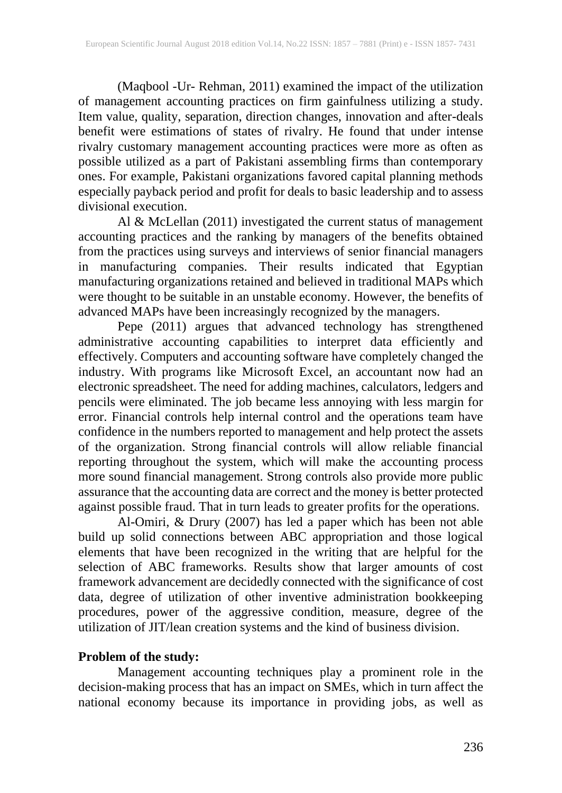(Maqbool -Ur- Rehman, 2011) examined the impact of the utilization of management accounting practices on firm gainfulness utilizing a study. Item value, quality, separation, direction changes, innovation and after-deals benefit were estimations of states of rivalry. He found that under intense rivalry customary management accounting practices were more as often as possible utilized as a part of Pakistani assembling firms than contemporary ones. For example, Pakistani organizations favored capital planning methods especially payback period and profit for deals to basic leadership and to assess divisional execution.

Al & McLellan (2011) investigated the current status of management accounting practices and the ranking by managers of the benefits obtained from the practices using surveys and interviews of senior financial managers in manufacturing companies. Their results indicated that Egyptian manufacturing organizations retained and believed in traditional MAPs which were thought to be suitable in an unstable economy. However, the benefits of advanced MAPs have been increasingly recognized by the managers.

Pepe (2011) argues that advanced technology has strengthened administrative accounting capabilities to interpret data efficiently and effectively. Computers and accounting software have completely changed the industry. With programs like Microsoft Excel, an accountant now had an electronic spreadsheet. The need for adding machines, calculators, ledgers and pencils were eliminated. The job became less annoying with less margin for error. Financial controls help internal control and the operations team have confidence in the numbers reported to management and help protect the assets of the organization. Strong financial controls will allow reliable financial reporting throughout the system, which will make the accounting process more sound financial management. Strong controls also provide more public assurance that the accounting data are correct and the money is better protected against possible fraud. That in turn leads to greater profits for the operations.

Al-Omiri, & Drury (2007) has led a paper which has been not able build up solid connections between ABC appropriation and those logical elements that have been recognized in the writing that are helpful for the selection of ABC frameworks. Results show that larger amounts of cost framework advancement are decidedly connected with the significance of cost data, degree of utilization of other inventive administration bookkeeping procedures, power of the aggressive condition, measure, degree of the utilization of JIT/lean creation systems and the kind of business division.

## **Problem of the study:**

Management accounting techniques play a prominent role in the decision-making process that has an impact on SMEs, which in turn affect the national economy because its importance in providing jobs, as well as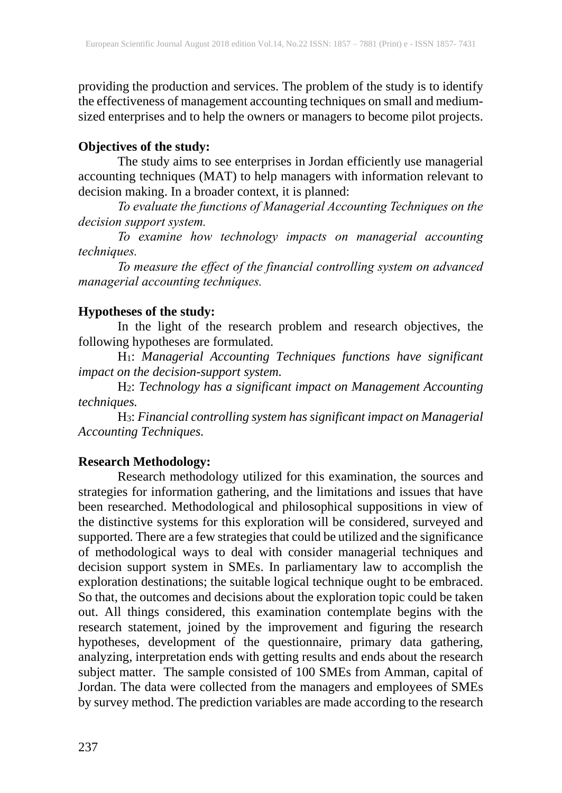providing the production and services. The problem of the study is to identify the effectiveness of management accounting techniques on small and mediumsized enterprises and to help the owners or managers to become pilot projects.

# **Objectives of the study:**

The study aims to see enterprises in Jordan efficiently use managerial accounting techniques (MAT) to help managers with information relevant to decision making. In a broader context, it is planned:

*To evaluate the functions of Managerial Accounting Techniques on the decision support system.*

*To examine how technology impacts on managerial accounting techniques.*

*To measure the effect of the financial controlling system on advanced managerial accounting techniques.* 

# **Hypotheses of the study:**

In the light of the research problem and research objectives, the following hypotheses are formulated.

H1: *Managerial Accounting Techniques functions have significant impact on the decision-support system.* 

H2: *Technology has a significant impact on Management Accounting techniques.*

H3: *Financial controlling system has significant impact on Managerial Accounting Techniques.*

# **Research Methodology:**

Research methodology utilized for this examination, the sources and strategies for information gathering, and the limitations and issues that have been researched. Methodological and philosophical suppositions in view of the distinctive systems for this exploration will be considered, surveyed and supported. There are a few strategies that could be utilized and the significance of methodological ways to deal with consider managerial techniques and decision support system in SMEs. In parliamentary law to accomplish the exploration destinations; the suitable logical technique ought to be embraced. So that, the outcomes and decisions about the exploration topic could be taken out. All things considered, this examination contemplate begins with the research statement, joined by the improvement and figuring the research hypotheses, development of the questionnaire, primary data gathering, analyzing, interpretation ends with getting results and ends about the research subject matter. The sample consisted of 100 SMEs from Amman, capital of Jordan. The data were collected from the managers and employees of SMEs by survey method. The prediction variables are made according to the research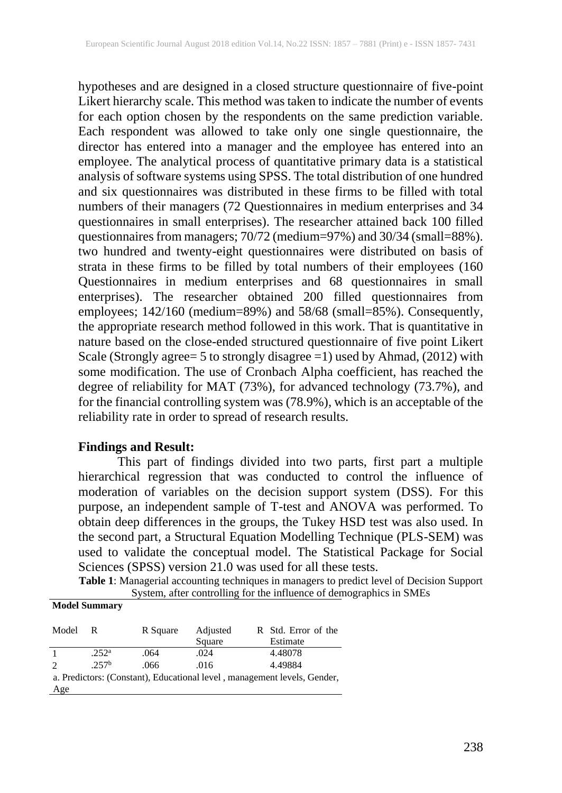hypotheses and are designed in a closed structure questionnaire of five-point Likert hierarchy scale. This method was taken to indicate the number of events for each option chosen by the respondents on the same prediction variable. Each respondent was allowed to take only one single questionnaire, the director has entered into a manager and the employee has entered into an employee. The analytical process of quantitative primary data is a statistical analysis of software systems using SPSS. The total distribution of one hundred and six questionnaires was distributed in these firms to be filled with total numbers of their managers (72 Questionnaires in medium enterprises and 34 questionnaires in small enterprises). The researcher attained back 100 filled questionnaires from managers; 70/72 (medium=97%) and 30/34 (small=88%). two hundred and twenty-eight questionnaires were distributed on basis of strata in these firms to be filled by total numbers of their employees (160 Questionnaires in medium enterprises and 68 questionnaires in small enterprises). The researcher obtained 200 filled questionnaires from employees; 142/160 (medium=89%) and 58/68 (small=85%). Consequently, the appropriate research method followed in this work. That is quantitative in nature based on the close-ended structured questionnaire of five point Likert Scale (Strongly agree= 5 to strongly disagree =1) used by Ahmad, (2012) with some modification. The use of Cronbach Alpha coefficient, has reached the degree of reliability for MAT (73%), for advanced technology (73.7%), and for the financial controlling system was (78.9%), which is an acceptable of the reliability rate in order to spread of research results.

### **Findings and Result:**

This part of findings divided into two parts, first part a multiple hierarchical regression that was conducted to control the influence of moderation of variables on the decision support system (DSS). For this purpose, an independent sample of T-test and ANOVA was performed. To obtain deep differences in the groups, the Tukey HSD test was also used. In the second part, a Structural Equation Modelling Technique (PLS-SEM) was used to validate the conceptual model. The Statistical Package for Social Sciences (SPSS) version 21.0 was used for all these tests.

**Table 1**: Managerial accounting techniques in managers to predict level of Decision Support System, after controlling for the influence of demographics in SMEs **Model Summary**

| Model                                                                    | R                 | R Square | Adjusted | R Std. Error of the |  |  |  |
|--------------------------------------------------------------------------|-------------------|----------|----------|---------------------|--|--|--|
|                                                                          |                   |          | Square   | Estimate            |  |  |  |
|                                                                          | .252 <sup>a</sup> | .064     | .024     | 4.48078             |  |  |  |
|                                                                          | .257 <sup>b</sup> | .066     | .016     | 4.49884             |  |  |  |
| a. Predictors: (Constant), Educational level, management levels, Gender, |                   |          |          |                     |  |  |  |
| Age                                                                      |                   |          |          |                     |  |  |  |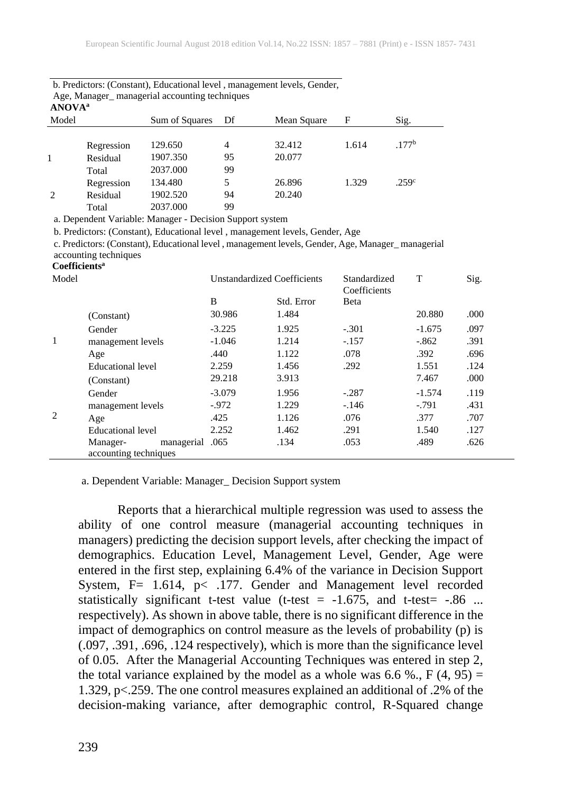|       | Age, Manager Inanagerial accounting techniques<br><b>ANOVA</b> <sup>a</sup> |                |    |             |       |                   |  |  |  |
|-------|-----------------------------------------------------------------------------|----------------|----|-------------|-------|-------------------|--|--|--|
| Model |                                                                             | Sum of Squares | Df | Mean Square | F     | Sig.              |  |  |  |
|       |                                                                             |                |    |             |       |                   |  |  |  |
|       | Regression                                                                  | 129.650        | 4  | 32.412      | 1.614 | .177 <sup>b</sup> |  |  |  |
|       | Residual                                                                    | 1907.350       | 95 | 20.077      |       |                   |  |  |  |
|       | Total                                                                       | 2037.000       | 99 |             |       |                   |  |  |  |
|       | Regression                                                                  | 134.480        | 5  | 26.896      | 1.329 | .259 <sup>c</sup> |  |  |  |
| 2     | Residual                                                                    | 1902.520       | 94 | 20.240      |       |                   |  |  |  |
|       | Total                                                                       | 2037.000       | 99 |             |       |                   |  |  |  |

| b. Predictors: (Constant), Educational level, management levels, Gender, |
|--------------------------------------------------------------------------|
| Age, Manager_ managerial accounting techniques                           |

a. Dependent Variable: Manager - Decision Support system

b. Predictors: (Constant), Educational level , management levels, Gender, Age

c. Predictors: (Constant), Educational level , management levels, Gender, Age, Manager\_ managerial accounting techniques

#### **Coefficients<sup>a</sup>**

| Model |                                                      | <b>Unstandardized Coefficients</b> |            | Standardized<br>Coefficients | T        | Sig. |
|-------|------------------------------------------------------|------------------------------------|------------|------------------------------|----------|------|
|       |                                                      | B                                  | Std. Error | Beta                         |          |      |
|       | (Constant)                                           | 30.986                             | 1.484      |                              | 20.880   | .000 |
| -1    | Gender                                               | $-3.225$                           | 1.925      | $-.301$                      | $-1.675$ | .097 |
|       | management levels                                    | $-1.046$                           | 1.214      | $-.157$                      | $-.862$  | .391 |
|       | Age                                                  | .440                               | 1.122      | .078                         | .392     | .696 |
|       | Educational level                                    | 2.259                              | 1.456      | .292                         | 1.551    | .124 |
|       | (Constant)                                           | 29.218                             | 3.913      |                              | 7.467    | .000 |
|       | Gender                                               | $-3.079$                           | 1.956      | $-.287$                      | $-1.574$ | .119 |
|       | management levels                                    | $-972$                             | 1.229      | $-146$                       | $-.791$  | .431 |
| 2     | Age                                                  | .425                               | 1.126      | .076                         | .377     | .707 |
|       | Educational level                                    | 2.252                              | 1.462      | .291                         | 1.540    | .127 |
|       | managerial .065<br>Manager-<br>accounting techniques |                                    | .134       | .053                         | .489     | .626 |

a. Dependent Variable: Manager\_ Decision Support system

Reports that a hierarchical multiple regression was used to assess the ability of one control measure (managerial accounting techniques in managers) predicting the decision support levels, after checking the impact of demographics. Education Level, Management Level, Gender, Age were entered in the first step, explaining 6.4% of the variance in Decision Support System,  $F = 1.614$ ,  $p < 177$ . Gender and Management level recorded statistically significant t-test value (t-test =  $-1.675$ , and t-test =  $-0.86$  ... respectively). As shown in above table, there is no significant difference in the impact of demographics on control measure as the levels of probability (p) is (.097, .391, .696, .124 respectively), which is more than the significance level of 0.05. After the Managerial Accounting Techniques was entered in step 2, the total variance explained by the model as a whole was 6.6 %.,  $F(4, 95) =$ 1.329, p<.259. The one control measures explained an additional of .2% of the decision-making variance, after demographic control, R-Squared change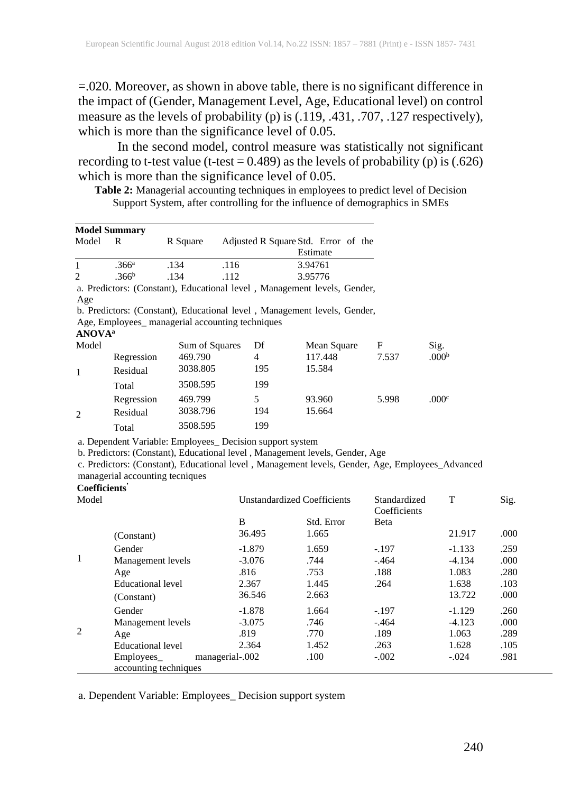=.020. Moreover, as shown in above table, there is no significant difference in the impact of (Gender, Management Level, Age, Educational level) on control measure as the levels of probability (p) is (.119, .431, .707, .127 respectively), which is more than the significance level of 0.05.

In the second model, control measure was statistically not significant recording to t-test value (t-test =  $0.489$ ) as the levels of probability (p) is (.626) which is more than the significance level of 0.05.

**Table 2:** Managerial accounting techniques in employees to predict level of Decision Support System, after controlling for the influence of demographics in SMEs

|                           | <b>Model Summary</b>            |                                                          |      |                |                                                                                                                                                                                   |              |                   |      |
|---------------------------|---------------------------------|----------------------------------------------------------|------|----------------|-----------------------------------------------------------------------------------------------------------------------------------------------------------------------------------|--------------|-------------------|------|
| Model                     | R                               | R Square                                                 |      |                | Adjusted R Square Std. Error of the<br>Estimate                                                                                                                                   |              |                   |      |
| 1                         | .366 <sup>a</sup>               | .134                                                     | .116 |                | 3.94761                                                                                                                                                                           |              |                   |      |
| $\overline{c}$            | .366 <sup>b</sup>               | .134                                                     | .112 |                | 3.95776                                                                                                                                                                           |              |                   |      |
|                           |                                 |                                                          |      |                | a. Predictors: (Constant), Educational level , Management levels, Gender,                                                                                                         |              |                   |      |
| Age                       |                                 |                                                          |      |                |                                                                                                                                                                                   |              |                   |      |
|                           |                                 |                                                          |      |                | b. Predictors: (Constant), Educational level, Management levels, Gender,                                                                                                          |              |                   |      |
|                           |                                 | Age, Employees_ managerial accounting techniques         |      |                |                                                                                                                                                                                   |              |                   |      |
| <b>ANOVA</b> <sup>a</sup> |                                 |                                                          |      |                |                                                                                                                                                                                   |              |                   |      |
| Model                     |                                 | Sum of Squares                                           |      | Df             | Mean Square                                                                                                                                                                       | F            | Sig.              |      |
|                           | Regression                      | 469.790                                                  |      | $\overline{4}$ | 117.448                                                                                                                                                                           | 7.537        | .000 <sup>b</sup> |      |
| 1                         | Residual                        | 3038.805                                                 |      | 195            | 15.584                                                                                                                                                                            |              |                   |      |
|                           | Total                           | 3508.595                                                 |      | 199            |                                                                                                                                                                                   |              |                   |      |
|                           | Regression                      | 469.799                                                  |      | 5              | 93.960                                                                                                                                                                            | 5.998        | .000c             |      |
| $\overline{2}$            | Residual                        | 3038.796                                                 |      | 194            | 15.664                                                                                                                                                                            |              |                   |      |
|                           | Total                           | 3508.595                                                 |      | 199            |                                                                                                                                                                                   |              |                   |      |
| Coefficients'             | managerial accounting tecniques | a. Dependent Variable: Employees_Decision support system |      |                | b. Predictors: (Constant), Educational level, Management levels, Gender, Age<br>c. Predictors: (Constant), Educational level , Management levels, Gender, Age, Employees_Advanced |              |                   |      |
|                           |                                 |                                                          |      |                |                                                                                                                                                                                   | Standardized |                   |      |
| Model                     |                                 |                                                          |      |                | <b>Unstandardized Coefficients</b>                                                                                                                                                | Coefficients | T                 | Sig. |
|                           |                                 |                                                          | B    |                | Std. Error                                                                                                                                                                        | Beta         |                   |      |
|                           | (Constant)                      |                                                          |      | 36.495         | 1.665                                                                                                                                                                             |              | 21.917            | .000 |
|                           | Gender                          |                                                          |      | $-1.879$       | 1.659                                                                                                                                                                             | $-.197$      | $-1.133$          | .259 |
| 1                         | Management levels               |                                                          |      | $-3.076$       | .744                                                                                                                                                                              | $-.464$      | $-4.134$          | .000 |
|                           | Age                             |                                                          |      | .816           | .753                                                                                                                                                                              | .188         | 1.083             | .280 |
|                           | <b>Educational level</b>        |                                                          |      | 2.367          | 1.445                                                                                                                                                                             | .264         | 1.638             | .103 |

(Constant) 36.546 2.663 13.722 .000 Gender -1.878 1.664 -1.97 -1.129 .260 Management levels -3.075 .746 -.464 -4.123 .000 Age .819 .819 .770 .189 1.063 .289 Educational level 2.364 1.452 .263 1.628 .105

-.002 .100 -.002 -.024 .981

a. Dependent Variable: Employees\_ Decision support system

Employees\_ managerial

accounting techniques

2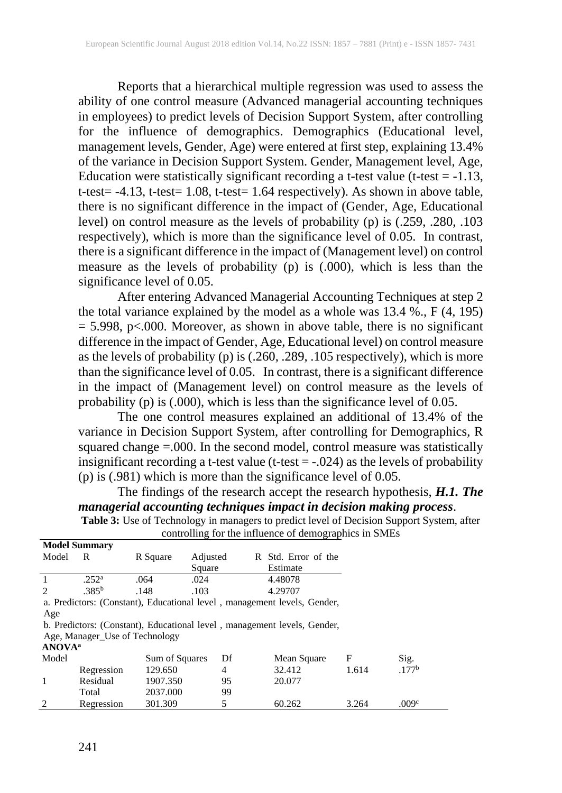Reports that a hierarchical multiple regression was used to assess the ability of one control measure (Advanced managerial accounting techniques in employees) to predict levels of Decision Support System, after controlling for the influence of demographics. Demographics (Educational level, management levels, Gender, Age) were entered at first step, explaining 13.4% of the variance in Decision Support System. Gender, Management level, Age, Education were statistically significant recording a t-test value (t-test  $= -1.13$ , t-test= -4.13, t-test= 1.08, t-test= 1.64 respectively). As shown in above table, there is no significant difference in the impact of (Gender, Age, Educational level) on control measure as the levels of probability (p) is (.259, .280, .103 respectively), which is more than the significance level of 0.05. In contrast, there is a significant difference in the impact of (Management level) on control measure as the levels of probability (p) is (.000), which is less than the significance level of 0.05.

After entering Advanced Managerial Accounting Techniques at step 2 the total variance explained by the model as a whole was 13.4 %., F (4, 195)  $= 5.998$ , p<.000. Moreover, as shown in above table, there is no significant difference in the impact of Gender, Age, Educational level) on control measure as the levels of probability (p) is (.260, .289, .105 respectively), which is more than the significance level of  $0.05$ . In contrast, there is a significant difference in the impact of (Management level) on control measure as the levels of probability (p) is (.000), which is less than the significance level of 0.05.

The one control measures explained an additional of 13.4% of the variance in Decision Support System, after controlling for Demographics, R squared change =.000. In the second model, control measure was statistically insignificant recording a t-test value (t-test = -.024) as the levels of probability (p) is (.981) which is more than the significance level of 0.05.

The findings of the research accept the research hypothesis, *H.1. The managerial accounting techniques impact in decision making process*.

**Table 3:** Use of Technology in managers to predict level of Decision Support System, after controlling for the influence of demographics in SMEs **Model Summary**

|                           | <b>INOULL DUMINIQUE</b>        |                |          |                                                                          |       |                   |
|---------------------------|--------------------------------|----------------|----------|--------------------------------------------------------------------------|-------|-------------------|
| Model                     | R                              | R Square       | Adjusted | R Std. Error of the                                                      |       |                   |
|                           |                                |                | Square   | Estimate                                                                 |       |                   |
| $\mathbf{1}$              | .252 <sup>a</sup>              | .064           | .024     | 4.48078                                                                  |       |                   |
| $\mathcal{L}$             | .385 <sup>b</sup>              | .148           | .103     | 4.29707                                                                  |       |                   |
|                           |                                |                |          | a. Predictors: (Constant), Educational level, management levels, Gender, |       |                   |
| Age                       |                                |                |          |                                                                          |       |                   |
|                           |                                |                |          | b. Predictors: (Constant), Educational level, management levels, Gender, |       |                   |
|                           | Age, Manager Use of Technology |                |          |                                                                          |       |                   |
| <b>ANOVA</b> <sup>a</sup> |                                |                |          |                                                                          |       |                   |
| Model                     |                                | Sum of Squares | Df       | Mean Square                                                              | F     | Sig.              |
|                           | Regression                     | 129.650        | 4        | 32.412                                                                   | 1.614 | .177 <sup>b</sup> |
| 1                         | Residual                       | 1907.350       | 95       | 20.077                                                                   |       |                   |
|                           | Total                          | 2037.000       | 99       |                                                                          |       |                   |
| 2                         | Regression                     | 301.309        | 5        | 60.262                                                                   | 3.264 | .009c             |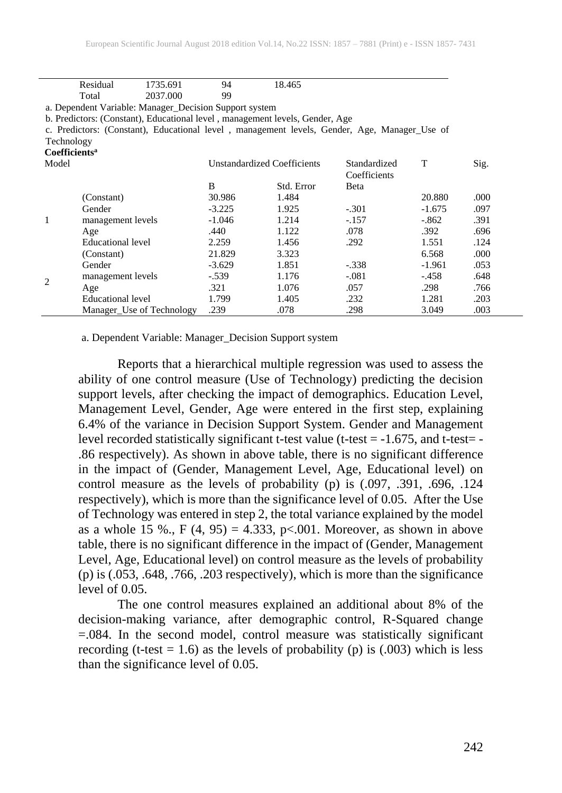|                           | Residual                                                                                     | 1735.691 | 94                                 | 18.465     |              |          |      |  |  |
|---------------------------|----------------------------------------------------------------------------------------------|----------|------------------------------------|------------|--------------|----------|------|--|--|
|                           | Total                                                                                        | 2037.000 | 99                                 |            |              |          |      |  |  |
|                           | a. Dependent Variable: Manager_Decision Support system                                       |          |                                    |            |              |          |      |  |  |
|                           | b. Predictors: (Constant), Educational level, management levels, Gender, Age                 |          |                                    |            |              |          |      |  |  |
|                           | c. Predictors: (Constant), Educational level, management levels, Gender, Age, Manager Use of |          |                                    |            |              |          |      |  |  |
| Technology                |                                                                                              |          |                                    |            |              |          |      |  |  |
| Coefficients <sup>a</sup> |                                                                                              |          |                                    |            |              |          |      |  |  |
| Model                     |                                                                                              |          | <b>Unstandardized Coefficients</b> |            | Standardized | T        | Sig. |  |  |
|                           |                                                                                              |          |                                    |            | Coefficients |          |      |  |  |
|                           |                                                                                              |          | B                                  | Std. Error | Beta         |          |      |  |  |
|                           | (Constant)                                                                                   |          | 30.986                             | 1.484      |              | 20.880   | .000 |  |  |
|                           | Gender                                                                                       |          | $-3.225$                           | 1.925      | $-.301$      | $-1.675$ | .097 |  |  |
| 1                         | management levels                                                                            |          | $-1.046$                           | 1.214      | $-.157$      | $-.862$  | .391 |  |  |
|                           | Age                                                                                          |          | .440                               | 1.122      | .078         | .392     | .696 |  |  |
|                           | Educational level                                                                            |          | 2.259                              | 1.456      | .292         | 1.551    | .124 |  |  |
|                           | (Constant)                                                                                   |          | 21.829                             | 3.323      |              | 6.568    | .000 |  |  |
|                           | Gender                                                                                       |          | $-3.629$                           | 1.851      | $-.338$      | $-1.961$ | .053 |  |  |
| $\overline{c}$            | management levels                                                                            |          | $-.539$                            | 1.176      | $-.081$      | $-.458$  | .648 |  |  |
|                           | Age                                                                                          |          | .321                               | 1.076      | .057         | .298     | .766 |  |  |
|                           | Educational level                                                                            |          | 1.799                              | 1.405      | .232         | 1.281    | .203 |  |  |
|                           | Manager Use of Technology                                                                    |          | .239                               | .078       | .298         | 3.049    | .003 |  |  |

a. Dependent Variable: Manager\_Decision Support system

Reports that a hierarchical multiple regression was used to assess the ability of one control measure (Use of Technology) predicting the decision support levels, after checking the impact of demographics. Education Level, Management Level, Gender, Age were entered in the first step, explaining 6.4% of the variance in Decision Support System. Gender and Management level recorded statistically significant t-test value (t-test =  $-1.675$ , and t-test=  $-$ .86 respectively). As shown in above table, there is no significant difference in the impact of (Gender, Management Level, Age, Educational level) on control measure as the levels of probability (p) is (.097, .391, .696, .124 respectively), which is more than the significance level of 0.05. After the Use of Technology was entered in step 2, the total variance explained by the model as a whole 15 %., F (4, 95) =  $4.333$ , p<.001. Moreover, as shown in above table, there is no significant difference in the impact of (Gender, Management Level, Age, Educational level) on control measure as the levels of probability  $(p)$  is  $(.053, .648, .766, .203$  respectively), which is more than the significance level of 0.05.

The one control measures explained an additional about 8% of the decision-making variance, after demographic control, R-Squared change =.084. In the second model, control measure was statistically significant recording (t-test = 1.6) as the levels of probability (p) is  $(.003)$  which is less than the significance level of 0.05.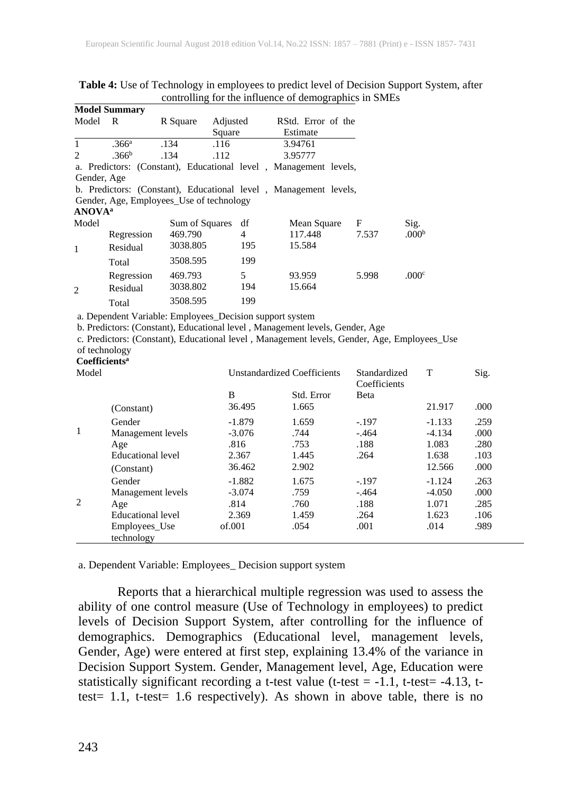|                               | Model Summary     |                                                                  |          |     |                    |             |       |                   |
|-------------------------------|-------------------|------------------------------------------------------------------|----------|-----|--------------------|-------------|-------|-------------------|
| Model                         | R                 | R Square                                                         | Adjusted |     | RStd. Error of the |             |       |                   |
|                               |                   |                                                                  | Square   |     | Estimate           |             |       |                   |
|                               | .366 <sup>a</sup> | .134                                                             | .116     |     | 3.94761            |             |       |                   |
| $\mathfrak{D}_{\mathfrak{p}}$ | .366 <sup>b</sup> | .134                                                             | .112     |     | 3.95777            |             |       |                   |
|                               |                   | a. Predictors: (Constant), Educational level, Management levels, |          |     |                    |             |       |                   |
| Gender, Age                   |                   |                                                                  |          |     |                    |             |       |                   |
|                               |                   | b. Predictors: (Constant), Educational level, Management levels, |          |     |                    |             |       |                   |
|                               |                   | Gender, Age, Employees_Use of technology                         |          |     |                    |             |       |                   |
| <b>ANOVA</b> <sup>a</sup>     |                   |                                                                  |          |     |                    |             |       |                   |
| Model                         |                   | Sum of Squares                                                   |          | df  |                    | Mean Square | F     | Sig.              |
|                               | Regression        | 469.790                                                          |          | 4   | 117.448            |             | 7.537 | .000 <sup>b</sup> |
| $\mathbf{1}$                  | Residual          | 3038.805                                                         |          | 195 | 15.584             |             |       |                   |
|                               | Total             | 3508.595                                                         |          | 199 |                    |             |       |                   |
|                               | Regression        | 469.793                                                          |          | 5   | 93.959             |             | 5.998 | .000c             |
| $\overline{2}$                | Residual          | 3038.802                                                         |          | 194 | 15.664             |             |       |                   |
|                               | Total             | 3508.595                                                         |          | 199 |                    |             |       |                   |

#### **Table 4:** Use of Technology in employees to predict level of Decision Support System, after controlling for the influence of demographics in SMEs **Model Summary**

a. Dependent Variable: Employees\_Decision support system

b. Predictors: (Constant), Educational level , Management levels, Gender, Age

c. Predictors: (Constant), Educational level , Management levels, Gender, Age, Employees\_Use of technology

#### **Coefficients<sup>a</sup>**

| Model          |                   | <b>Unstandardized Coefficients</b> |            | Standardized | T        | Sig. |
|----------------|-------------------|------------------------------------|------------|--------------|----------|------|
|                |                   |                                    |            | Coefficients |          |      |
|                |                   | B                                  | Std. Error | Beta         |          |      |
|                | (Constant)        | 36.495                             | 1.665      |              | 21.917   | .000 |
| 1              | Gender            | $-1.879$                           | 1.659      | $-.197$      | $-1.133$ | .259 |
|                | Management levels | $-3.076$                           | .744       | $-.464$      | $-4.134$ | .000 |
|                | Age               | .816                               | .753       | .188         | 1.083    | .280 |
|                | Educational level | 2.367                              | 1.445      | .264         | 1.638    | .103 |
|                | (Constant)        | 36.462                             | 2.902      |              | 12.566   | .000 |
|                | Gender            | $-1.882$                           | 1.675      | $-.197$      | $-1.124$ | .263 |
|                | Management levels | $-3.074$                           | .759       | $-.464$      | $-4.050$ | .000 |
| $\overline{2}$ | Age               | .814                               | .760       | .188         | 1.071    | .285 |
|                | Educational level | 2.369                              | 1.459      | .264         | 1.623    | .106 |
|                | Employees Use     | of.001                             | .054       | .001         | .014     | .989 |
|                | technology        |                                    |            |              |          |      |

a. Dependent Variable: Employees\_ Decision support system

Reports that a hierarchical multiple regression was used to assess the ability of one control measure (Use of Technology in employees) to predict levels of Decision Support System, after controlling for the influence of demographics. Demographics (Educational level, management levels, Gender, Age) were entered at first step, explaining 13.4% of the variance in Decision Support System. Gender, Management level, Age, Education were statistically significant recording a t-test value (t-test =  $-1.1$ , t-test =  $-4.13$ , ttest= 1.1, t-test= 1.6 respectively). As shown in above table, there is no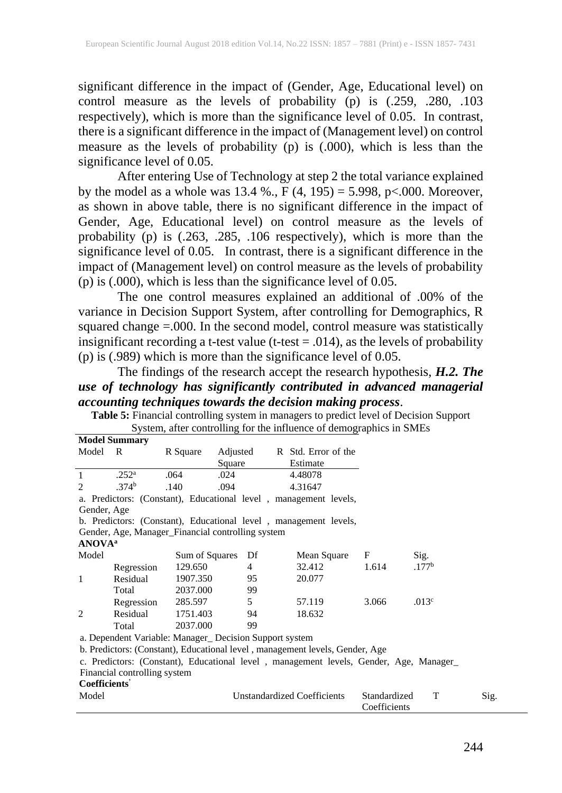significant difference in the impact of (Gender, Age, Educational level) on control measure as the levels of probability (p) is (.259, .280, .103 respectively), which is more than the significance level of 0.05. In contrast, there is a significant difference in the impact of (Management level) on control measure as the levels of probability  $(p)$  is  $(.000)$ , which is less than the significance level of 0.05.

After entering Use of Technology at step 2 the total variance explained by the model as a whole was  $13.4 \%$ .,  $F(4, 195) = 5.998$ , p<.000. Moreover, as shown in above table, there is no significant difference in the impact of Gender, Age, Educational level) on control measure as the levels of probability (p) is (.263, .285, .106 respectively), which is more than the significance level of 0.05. In contrast, there is a significant difference in the impact of (Management level) on control measure as the levels of probability (p) is (.000), which is less than the significance level of 0.05.

The one control measures explained an additional of .00% of the variance in Decision Support System, after controlling for Demographics, R squared change =.000. In the second model, control measure was statistically insignificant recording a t-test value (t-test = .014), as the levels of probability (p) is (.989) which is more than the significance level of 0.05.

The findings of the research accept the research hypothesis, *H.2. The use of technology has significantly contributed in advanced managerial accounting techniques towards the decision making process*.

|                           | <b>Model Summary</b>         |                |                                                        |                                                                                       |                              |                   |      |  |  |
|---------------------------|------------------------------|----------------|--------------------------------------------------------|---------------------------------------------------------------------------------------|------------------------------|-------------------|------|--|--|
| Model R                   |                              | R Square       | Adjusted                                               | R Std. Error of the                                                                   |                              |                   |      |  |  |
|                           |                              |                | Square                                                 | Estimate                                                                              |                              |                   |      |  |  |
| $\mathbf{1}$              | .252 <sup>a</sup>            | .064           | .024                                                   | 4.48078                                                                               |                              |                   |      |  |  |
| $\overline{c}$            | .374 <sup>b</sup>            | .140           | .094                                                   | 4.31647                                                                               |                              |                   |      |  |  |
|                           |                              |                |                                                        | a. Predictors: (Constant), Educational level, management levels,                      |                              |                   |      |  |  |
|                           | Gender, Age                  |                |                                                        |                                                                                       |                              |                   |      |  |  |
|                           |                              |                |                                                        | b. Predictors: (Constant), Educational level, management levels,                      |                              |                   |      |  |  |
|                           |                              |                | Gender, Age, Manager_Financial controlling system      |                                                                                       |                              |                   |      |  |  |
| <b>ANOVA</b> <sup>a</sup> |                              |                |                                                        |                                                                                       |                              |                   |      |  |  |
| Model                     |                              | Sum of Squares | Df                                                     | Mean Square                                                                           | F                            | Sig.              |      |  |  |
|                           | Regression                   | 129.650        | $\overline{4}$                                         | 32.412                                                                                | 1.614                        | .177 <sup>b</sup> |      |  |  |
| 1                         | Residual                     | 1907.350       | 95                                                     | 20.077                                                                                |                              |                   |      |  |  |
|                           | Total                        | 2037.000       | 99                                                     |                                                                                       |                              |                   |      |  |  |
|                           | Regression                   | 285.597        | 5                                                      | 57.119                                                                                | 3.066                        | .013 <sup>c</sup> |      |  |  |
| $\overline{2}$            | Residual                     | 1751.403       | 94                                                     | 18.632                                                                                |                              |                   |      |  |  |
|                           | Total                        | 2037.000       | 99                                                     |                                                                                       |                              |                   |      |  |  |
|                           |                              |                | a. Dependent Variable: Manager_Decision Support system |                                                                                       |                              |                   |      |  |  |
|                           |                              |                |                                                        | b. Predictors: (Constant), Educational level, management levels, Gender, Age          |                              |                   |      |  |  |
|                           |                              |                |                                                        | c. Predictors: (Constant), Educational level, management levels, Gender, Age, Manager |                              |                   |      |  |  |
|                           | Financial controlling system |                |                                                        |                                                                                       |                              |                   |      |  |  |
| Coefficients'             |                              |                |                                                        |                                                                                       |                              |                   |      |  |  |
| Model                     |                              |                |                                                        | <b>Unstandardized Coefficients</b>                                                    | Standardized<br>Coefficients | T                 | Sig. |  |  |

**Table 5:** Financial controlling system in managers to predict level of Decision Support System, after controlling for the influence of demographics in SMEs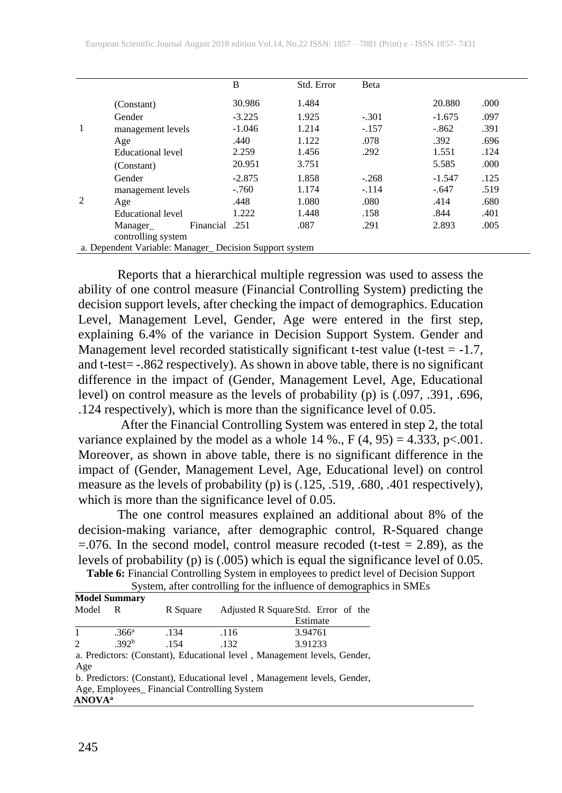|   |                                                        | B        | Std. Error | Beta    |          |      |
|---|--------------------------------------------------------|----------|------------|---------|----------|------|
|   | (Constant)                                             | 30.986   | 1.484      |         | 20.880   | .000 |
| 1 | Gender                                                 | $-3.225$ | 1.925      | $-.301$ | $-1.675$ | .097 |
|   | management levels                                      | $-1.046$ | 1.214      | $-.157$ | $-.862$  | .391 |
|   | Age                                                    | .440     | 1.122      | .078    | .392     | .696 |
|   | Educational level                                      | 2.259    | 1.456      | .292    | 1.551    | .124 |
|   | (Constant)                                             | 20.951   | 3.751      |         | 5.585    | .000 |
|   | Gender                                                 | $-2.875$ | 1.858      | $-.268$ | $-1.547$ | .125 |
|   | management levels                                      | $-.760$  | 1.174      | $-.114$ | $-.647$  | .519 |
| 2 | Age                                                    | .448     | 1.080      | .080    | .414     | .680 |
|   | Educational level                                      | 1.222    | 1.448      | .158    | .844     | .401 |
|   | Einancial .251<br>Manager                              |          | .087       | .291    | 2.893    | .005 |
|   | controlling system                                     |          |            |         |          |      |
|   | a. Dependent Variable: Manager_Decision Support system |          |            |         |          |      |

Reports that a hierarchical multiple regression was used to assess the ability of one control measure (Financial Controlling System) predicting the decision support levels, after checking the impact of demographics. Education Level, Management Level, Gender, Age were entered in the first step, explaining 6.4% of the variance in Decision Support System. Gender and Management level recorded statistically significant t-test value (t-test =  $-1.7$ , and t-test= -.862 respectively). As shown in above table, there is no significant difference in the impact of (Gender, Management Level, Age, Educational level) on control measure as the levels of probability (p) is (.097, .391, .696, .124 respectively), which is more than the significance level of 0.05.

After the Financial Controlling System was entered in step 2, the total variance explained by the model as a whole 14 %., F  $(4, 95) = 4.333$ , p<.001. Moreover, as shown in above table, there is no significant difference in the impact of (Gender, Management Level, Age, Educational level) on control measure as the levels of probability (p) is (.125, .519, .680, .401 respectively), which is more than the significance level of 0.05.

The one control measures explained an additional about 8% of the decision-making variance, after demographic control, R-Squared change  $=$ .076. In the second model, control measure recoded (t-test  $=$  2.89), as the levels of probability (p) is (.005) which is equal the significance level of 0.05.

**Table 6:** Financial Controlling System in employees to predict level of Decision Support

System, after controlling for the influence of demographics in SMEs

|                | <b>Model Summary</b> |                                                                          |      |                                     |  |  |  |  |  |  |  |  |
|----------------|----------------------|--------------------------------------------------------------------------|------|-------------------------------------|--|--|--|--|--|--|--|--|
| Model          | R                    | R Square                                                                 |      | Adjusted R Square Std. Error of the |  |  |  |  |  |  |  |  |
|                |                      |                                                                          |      | Estimate                            |  |  |  |  |  |  |  |  |
| 1              | .366 <sup>a</sup>    | .134                                                                     | .116 | 3.94761                             |  |  |  |  |  |  |  |  |
| $\mathfrak{D}$ | .392 <sup>b</sup>    | .154                                                                     | .132 | 3.91233                             |  |  |  |  |  |  |  |  |
|                |                      | a. Predictors: (Constant), Educational level, Management levels, Gender, |      |                                     |  |  |  |  |  |  |  |  |
| Age            |                      |                                                                          |      |                                     |  |  |  |  |  |  |  |  |
|                |                      | b. Predictors: (Constant), Educational level, Management levels, Gender, |      |                                     |  |  |  |  |  |  |  |  |
|                |                      | Ago Employees, Einengial Controlling System                              |      |                                     |  |  |  |  |  |  |  |  |

Age, Employees\_ Financial Controlling System **ANOVAa**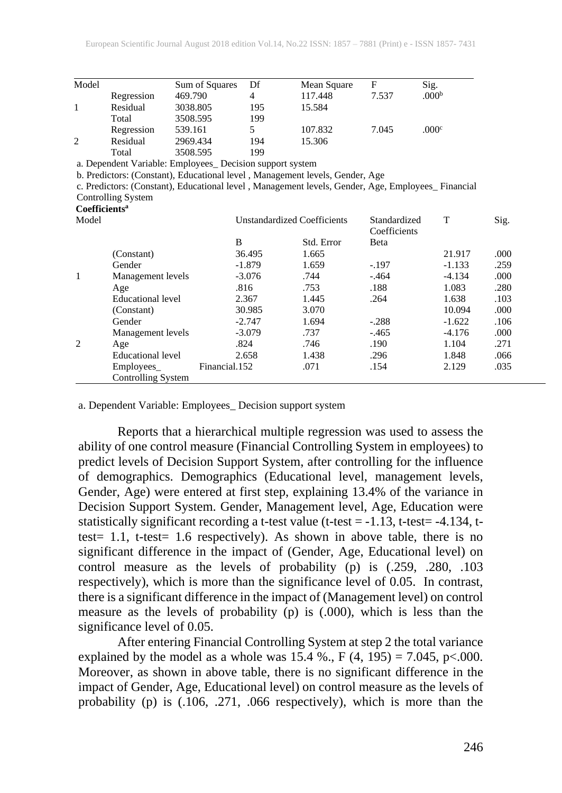| Model                     |                                                                                                   | Sum of Squares | Df                                 | Mean Square | F                            | Sig.              |      |
|---------------------------|---------------------------------------------------------------------------------------------------|----------------|------------------------------------|-------------|------------------------------|-------------------|------|
|                           | Regression                                                                                        | 469.790        | 4                                  | 117.448     | 7.537                        | .000 <sup>b</sup> |      |
| 1                         | Residual                                                                                          | 3038.805       | 195                                | 15.584      |                              |                   |      |
|                           | Total                                                                                             | 3508.595       | 199                                |             |                              |                   |      |
|                           | Regression                                                                                        | 539.161        | 5                                  | 107.832     | 7.045                        | .000 <sup>c</sup> |      |
| 2                         | Residual                                                                                          | 2969.434       | 194                                | 15.306      |                              |                   |      |
|                           | Total                                                                                             | 3508.595       | 199                                |             |                              |                   |      |
|                           | a. Dependent Variable: Employees_ Decision support system                                         |                |                                    |             |                              |                   |      |
|                           | b. Predictors: (Constant), Educational level, Management levels, Gender, Age                      |                |                                    |             |                              |                   |      |
|                           | c. Predictors: (Constant), Educational level, Management levels, Gender, Age, Employees Financial |                |                                    |             |                              |                   |      |
|                           | Controlling System                                                                                |                |                                    |             |                              |                   |      |
| Coefficients <sup>a</sup> |                                                                                                   |                |                                    |             |                              |                   |      |
| Model                     |                                                                                                   |                | <b>Unstandardized Coefficients</b> |             | Standardized<br>Coefficients | T                 | Sig. |
|                           |                                                                                                   | B              |                                    | Std. Error  | Beta                         |                   |      |
|                           | (Constant)                                                                                        |                | 36.495                             | 1.665       |                              | 21.917            | .000 |
|                           | Gender                                                                                            |                | $-1.879$                           | 1.659       | $-.197$                      | $-1.133$          | .259 |
| 1                         | Management levels                                                                                 |                | $-3.076$                           | .744        | $-.464$                      | $-4.134$          | .000 |
|                           | Age                                                                                               |                | .816                               | .753        | .188                         | 1.083             | .280 |
|                           | <b>Educational level</b>                                                                          |                | 2.367                              | 1.445       | .264                         | 1.638             | .103 |
|                           | (Constant)                                                                                        |                | 30.985                             | 3.070       |                              | 10.094            | .000 |
|                           | Gender                                                                                            |                | $-2.747$                           | 1.694       | $-.288$                      | $-1.622$          | .106 |
|                           | Management levels                                                                                 |                | $-3.079$                           | .737        | $-.465$                      | $-4.176$          | .000 |
| $\overline{2}$            | Age                                                                                               |                | .824                               | .746        | .190                         | 1.104             | .271 |
|                           | <b>Educational level</b>                                                                          |                | 2.658                              | 1.438       | .296                         | 1.848             | .066 |
|                           | Employees                                                                                         | Financial.152  |                                    | .071        | .154                         | 2.129             | .035 |
|                           | Controlling System                                                                                |                |                                    |             |                              |                   |      |

a. Dependent Variable: Employees\_ Decision support system

Reports that a hierarchical multiple regression was used to assess the ability of one control measure (Financial Controlling System in employees) to predict levels of Decision Support System, after controlling for the influence of demographics. Demographics (Educational level, management levels, Gender, Age) were entered at first step, explaining 13.4% of the variance in Decision Support System. Gender, Management level, Age, Education were statistically significant recording a t-test value (t-test = -1.13, t-test= -4.134, ttest= 1.1, t-test= 1.6 respectively). As shown in above table, there is no significant difference in the impact of (Gender, Age, Educational level) on control measure as the levels of probability (p) is (.259, .280, .103 respectively), which is more than the significance level of 0.05. In contrast, there is a significant difference in the impact of (Management level) on control measure as the levels of probability (p) is (.000), which is less than the significance level of 0.05.

After entering Financial Controlling System at step 2 the total variance explained by the model as a whole was  $15.4\%$ ., F (4, 195) = 7.045, p<.000. Moreover, as shown in above table, there is no significant difference in the impact of Gender, Age, Educational level) on control measure as the levels of probability (p) is (.106, .271, .066 respectively), which is more than the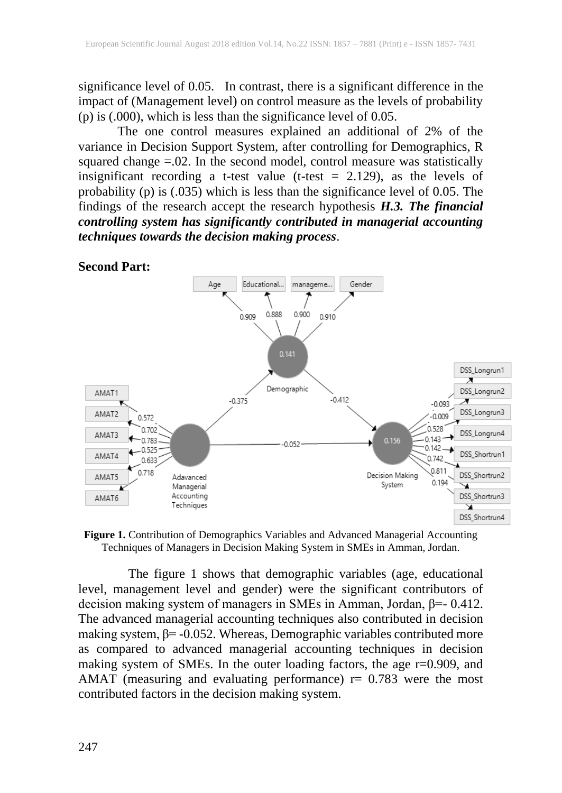significance level of 0.05. In contrast, there is a significant difference in the impact of (Management level) on control measure as the levels of probability (p) is (.000), which is less than the significance level of 0.05.

The one control measures explained an additional of 2% of the variance in Decision Support System, after controlling for Demographics, R squared change  $= 0.02$ . In the second model, control measure was statistically insignificant recording a t-test value (t-test  $= 2.129$ ), as the levels of probability (p) is (.035) which is less than the significance level of 0.05. The findings of the research accept the research hypothesis *H.3. The financial controlling system has significantly contributed in managerial accounting techniques towards the decision making process*.



**Figure 1.** Contribution of Demographics Variables and Advanced Managerial Accounting Techniques of Managers in Decision Making System in SMEs in Amman, Jordan.

The figure 1 shows that demographic variables (age, educational level, management level and gender) were the significant contributors of decision making system of managers in SMEs in Amman, Jordan, β=- 0.412. The advanced managerial accounting techniques also contributed in decision making system,  $β = -0.052$ . Whereas, Demographic variables contributed more as compared to advanced managerial accounting techniques in decision making system of SMEs. In the outer loading factors, the age r=0.909, and AMAT (measuring and evaluating performance)  $r = 0.783$  were the most contributed factors in the decision making system.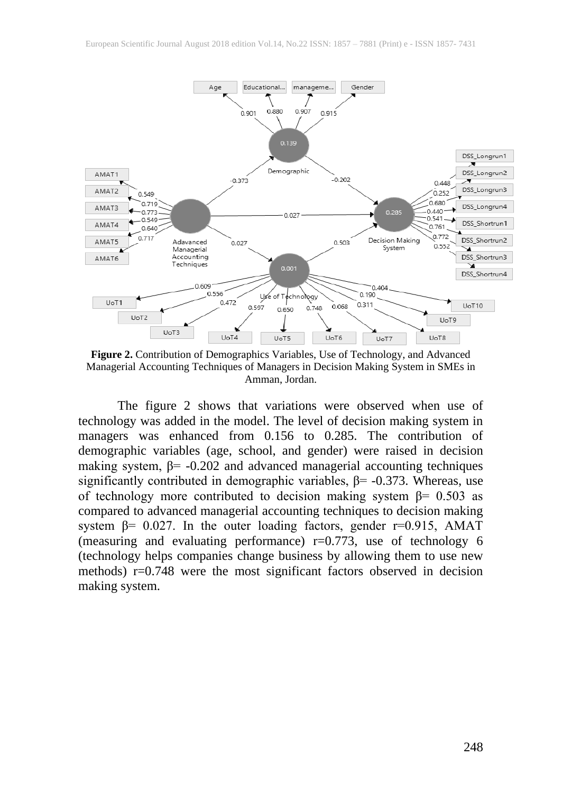

**Figure 2.** Contribution of Demographics Variables, Use of Technology, and Advanced Managerial Accounting Techniques of Managers in Decision Making System in SMEs in Amman, Jordan.

The figure 2 shows that variations were observed when use of technology was added in the model. The level of decision making system in managers was enhanced from 0.156 to 0.285. The contribution of demographic variables (age, school, and gender) were raised in decision making system,  $β = -0.202$  and advanced managerial accounting techniques significantly contributed in demographic variables,  $\beta$ = -0.373. Whereas, use of technology more contributed to decision making system β= 0.503 as compared to advanced managerial accounting techniques to decision making system  $\beta$ = 0.027. In the outer loading factors, gender r=0.915, AMAT (measuring and evaluating performance)  $r=0.773$ , use of technology 6 (technology helps companies change business by allowing them to use new methods) r=0.748 were the most significant factors observed in decision making system.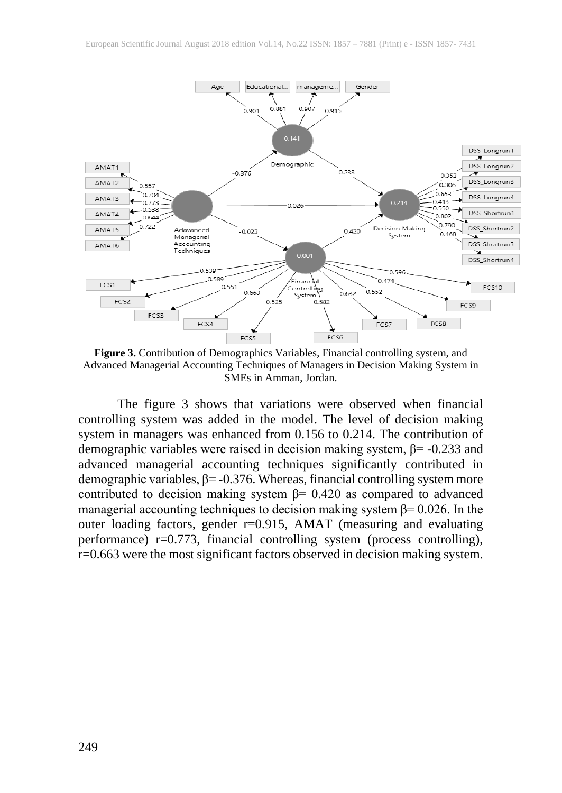

**Figure 3.** Contribution of Demographics Variables, Financial controlling system, and Advanced Managerial Accounting Techniques of Managers in Decision Making System in SMEs in Amman, Jordan.

The figure 3 shows that variations were observed when financial controlling system was added in the model. The level of decision making system in managers was enhanced from 0.156 to 0.214. The contribution of demographic variables were raised in decision making system, β= -0.233 and advanced managerial accounting techniques significantly contributed in demographic variables,  $\beta$ = -0.376. Whereas, financial controlling system more contributed to decision making system  $\beta$ = 0.420 as compared to advanced managerial accounting techniques to decision making system  $\beta$ = 0.026. In the outer loading factors, gender r=0.915, AMAT (measuring and evaluating performance) r=0.773, financial controlling system (process controlling), r=0.663 were the most significant factors observed in decision making system.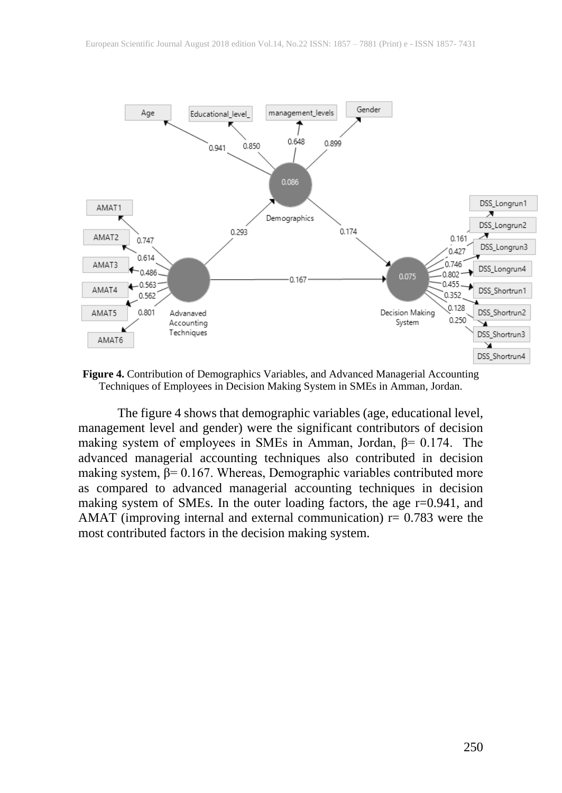

**Figure 4.** Contribution of Demographics Variables, and Advanced Managerial Accounting Techniques of Employees in Decision Making System in SMEs in Amman, Jordan.

The figure 4 shows that demographic variables (age, educational level, management level and gender) were the significant contributors of decision making system of employees in SMEs in Amman, Jordan,  $\beta$ = 0.174. The advanced managerial accounting techniques also contributed in decision making system,  $β = 0.167$ . Whereas, Demographic variables contributed more as compared to advanced managerial accounting techniques in decision making system of SMEs. In the outer loading factors, the age r=0.941, and AMAT (improving internal and external communication)  $r = 0.783$  were the most contributed factors in the decision making system.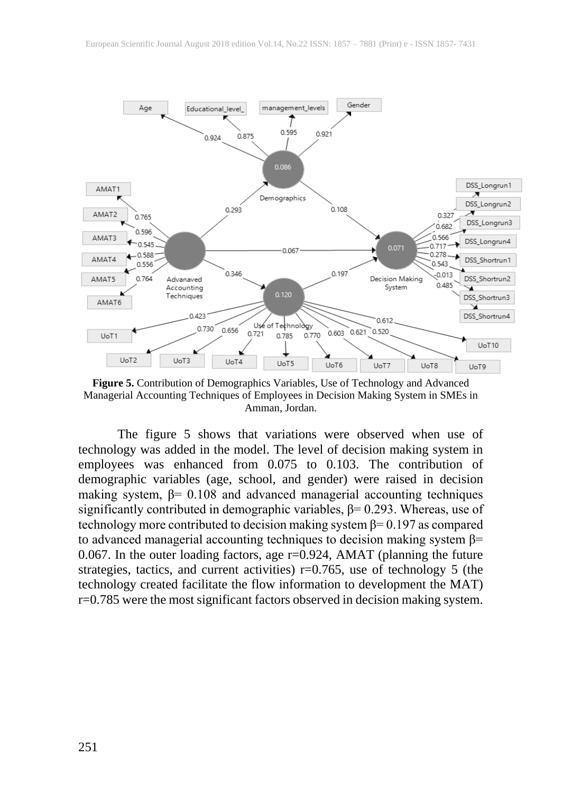

**Figure 5.** Contribution of Demographics Variables, Use of Technology and Advanced Managerial Accounting Techniques of Employees in Decision Making System in SMEs in Amman, Jordan.

The figure 5 shows that variations were observed when use of technology was added in the model. The level of decision making system in employees was enhanced from 0.075 to 0.103. The contribution of demographic variables (age, school, and gender) were raised in decision making system,  $\beta$ = 0.108 and advanced managerial accounting techniques significantly contributed in demographic variables,  $\beta$ = 0.293. Whereas, use of technology more contributed to decision making system  $\beta$ = 0.197 as compared to advanced managerial accounting techniques to decision making system  $\beta$ = 0.067. In the outer loading factors, age r=0.924, AMAT (planning the future strategies, tactics, and current activities) r=0.765, use of technology 5 (the technology created facilitate the flow information to development the MAT) r=0.785 were the most significant factors observed in decision making system.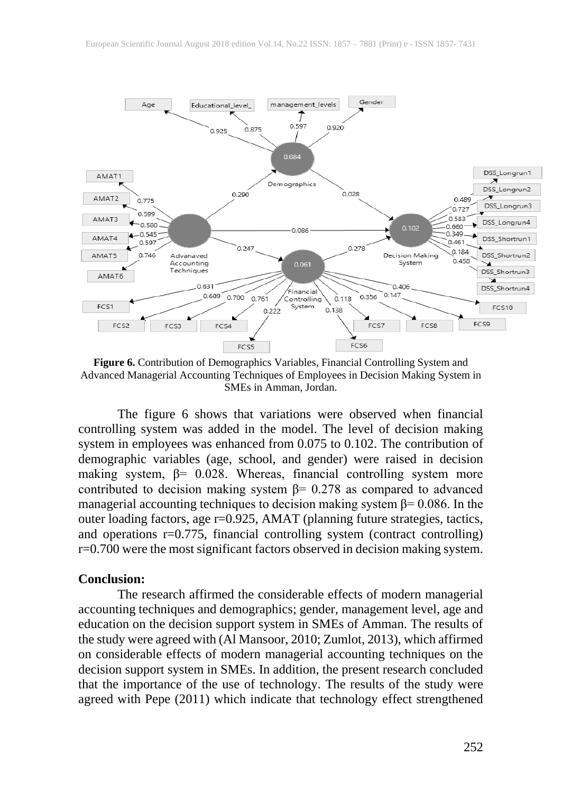

**Figure 6.** Contribution of Demographics Variables, Financial Controlling System and Advanced Managerial Accounting Techniques of Employees in Decision Making System in SMEs in Amman, Jordan.

The figure 6 shows that variations were observed when financial controlling system was added in the model. The level of decision making system in employees was enhanced from 0.075 to 0.102. The contribution of demographic variables (age, school, and gender) were raised in decision making system,  $\beta$ = 0.028. Whereas, financial controlling system more contributed to decision making system  $\beta$ = 0.278 as compared to advanced managerial accounting techniques to decision making system  $\beta$ = 0.086. In the outer loading factors, age r=0.925, AMAT (planning future strategies, tactics, and operations  $r=0.775$ , financial controlling system (contract controlling) r=0.700 were the most significant factors observed in decision making system.

#### **Conclusion:**

The research affirmed the considerable effects of modern managerial accounting techniques and demographics; gender, management level, age and education on the decision support system in SMEs of Amman. The results of the study were agreed with (Al Mansoor, 2010; Zumlot, 2013), which affirmed on considerable effects of modern managerial accounting techniques on the decision support system in SMEs. In addition, the present research concluded that the importance of the use of technology. The results of the study were agreed with Pepe (2011) which indicate that technology effect strengthened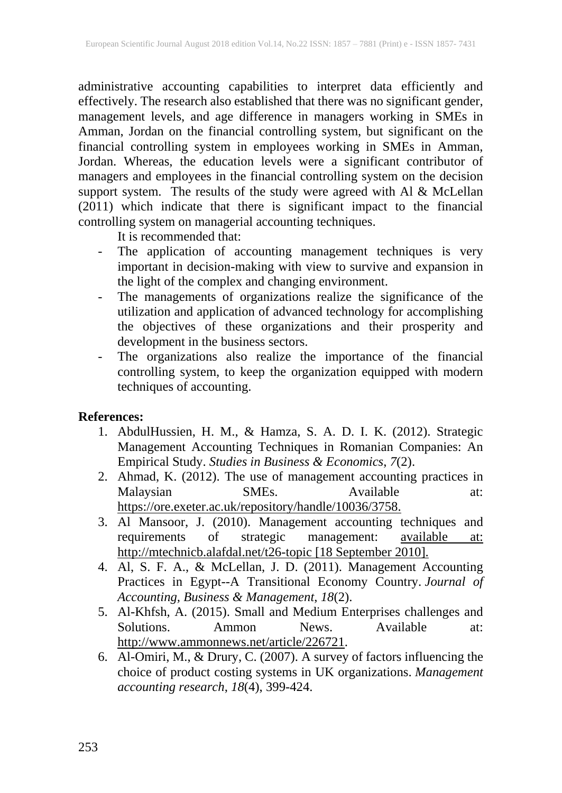administrative accounting capabilities to interpret data efficiently and effectively. The research also established that there was no significant gender, management levels, and age difference in managers working in SMEs in Amman, Jordan on the financial controlling system, but significant on the financial controlling system in employees working in SMEs in Amman, Jordan. Whereas, the education levels were a significant contributor of managers and employees in the financial controlling system on the decision support system. The results of the study were agreed with Al & McLellan (2011) which indicate that there is significant impact to the financial controlling system on managerial accounting techniques.

It is recommended that:

- The application of accounting management techniques is very important in decision-making with view to survive and expansion in the light of the complex and changing environment.
- The managements of organizations realize the significance of the utilization and application of advanced technology for accomplishing the objectives of these organizations and their prosperity and development in the business sectors.
- The organizations also realize the importance of the financial controlling system, to keep the organization equipped with modern techniques of accounting.

# **References:**

- 1. AbdulHussien, H. M., & Hamza, S. A. D. I. K. (2012). Strategic Management Accounting Techniques in Romanian Companies: An Empirical Study. *Studies in Business & Economics*, *7*(2).
- 2. Ahmad, K. (2012). The use of management accounting practices in Malaysian SMEs. Available at: https://ore.exeter.ac.uk/repository/handle/10036/3758.
- 3. Al Mansoor, J. (2010). Management accounting techniques and requirements of strategic management: available at: http://mtechnicb.alafdal.net/t26-topic [18 September 2010].
- 4. Al, S. F. A., & McLellan, J. D. (2011). Management Accounting Practices in Egypt--A Transitional Economy Country. *Journal of Accounting, Business & Management*, *18*(2).
- 5. Al-Khfsh, A. (2015). Small and Medium Enterprises challenges and Solutions. Ammon News. Available at: http://www.ammonnews.net/article/226721.
- 6. Al-Omiri, M., & Drury, C. (2007). A survey of factors influencing the choice of product costing systems in UK organizations. *Management accounting research*, *18*(4), 399-424.